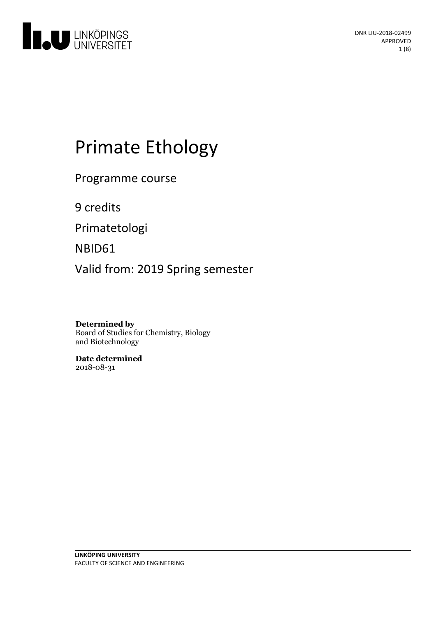

# Primate Ethology

Programme course

9 credits

Primatetologi

NBID61

Valid from: 2019 Spring semester

**Determined by** Board of Studies for Chemistry, Biology and Biotechnology

**Date determined** 2018-08-31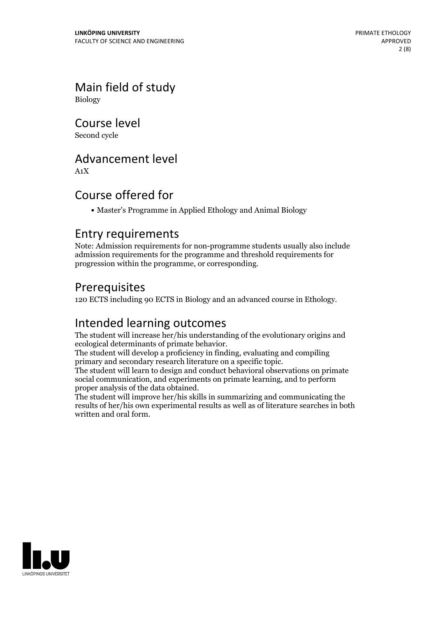Main field of study Biology

Course level

Second cycle

### Advancement level

A1X

# Course offered for

Master's Programme in Applied Ethology and Animal Biology

### Entry requirements

Note: Admission requirements for non-programme students usually also include admission requirements for the programme and threshold requirements for progression within the programme, or corresponding.

### Prerequisites

120 ECTS including 90 ECTS in Biology and an advanced course in Ethology.

# Intended learning outcomes

The student will increase her/his understanding of the evolutionary origins and ecological determinants of primate behavior.

The student will develop a proficiency in finding, evaluating and compiling primary and secondary research literature on a specific topic.

The student will learn to design and conduct behavioral observations on primate social communication, and experiments on primate learning, and to perform proper analysis of the data obtained.

The student will improve her/his skills in summarizing and communicating the results of her/his own experimental results as well as of literature searches in both written and oral form.

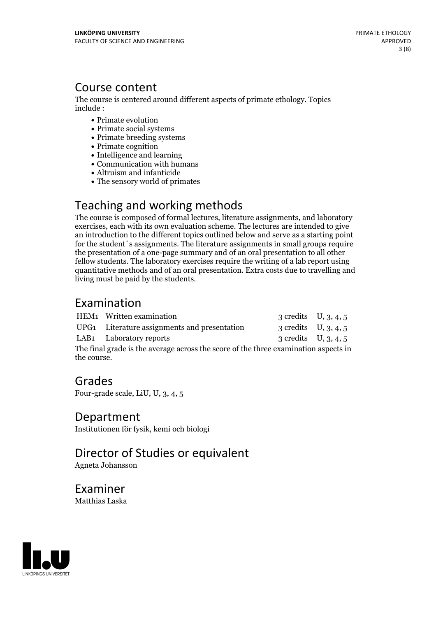### Course content

The course is centered around different aspects of primate ethology. Topics include :

- Primate evolution
- Primate social systems
- Primate breeding systems
- Primate cognition
- Intelligence and learning
- Communication with humans
- Altruism and infanticide
- The sensory world of primates

# Teaching and working methods

The course is composed of formal lectures, literature assignments, and laboratory exercises, each with its own evaluation scheme. The lectures are intended to give an introduction to the different topics outlined below and serve as a starting point for the student´s assignments. The literature assignments in small groups require the presentation of a one-page summary and of an oral presentation to all other fellow students. The laboratory exercises require the writing of a lab report using quantitative methods and of an oral presentation. Extra costs due to travelling and living must be paid by the students.

# Examination

|                                                                                     | HEM1 Written examination                     | 3 credits $U, 3, 4, 5$ |  |
|-------------------------------------------------------------------------------------|----------------------------------------------|------------------------|--|
|                                                                                     | UPG1 Literature assignments and presentation | 3 credits $U, 3, 4, 5$ |  |
|                                                                                     | LAB1 Laboratory reports                      | 3 credits $U, 3, 4, 5$ |  |
| The final grade is the average across the score of the three examination aspects in |                                              |                        |  |
| the course.                                                                         |                                              |                        |  |

### Grades

Four-grade scale, LiU, U, 3, 4, 5

### Department

Institutionen för fysik, kemi och biologi

# Director of Studies or equivalent

Agneta Johansson

Examiner Matthias Laska

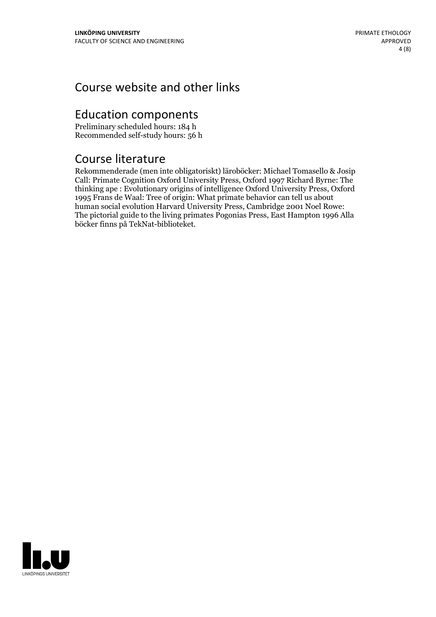# Course website and other links

# Education components

Preliminary scheduled hours: 184 h Recommended self-study hours: 56 h

# Course literature

Rekommenderade (men inte obligatoriskt) läroböcker: Michael Tomasello & Josip Call: Primate Cognition Oxford University Press, Oxford 1997 Richard Byrne: The thinking ape : Evolutionary origins of intelligence Oxford University Press, Oxford 1995 Frans de Waal: Tree of origin: What primate behavior can tell us about human social evolution Harvard University Press, Cambridge 2001 Noel Rowe: The pictorial guide to the living primates Pogonias Press, East Hampton 1996 Alla böcker finns på TekNat-biblioteket.

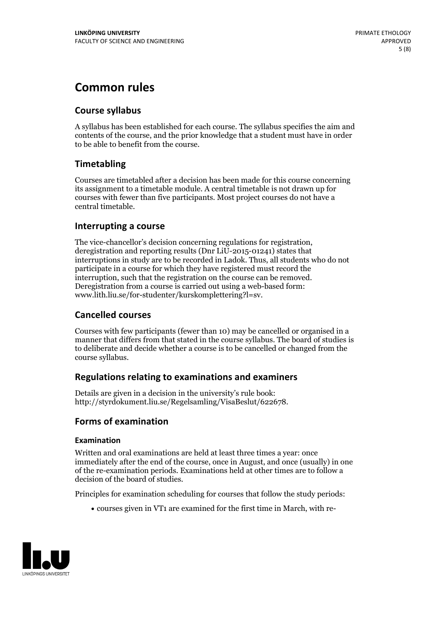# **Common rules**

### **Course syllabus**

A syllabus has been established for each course. The syllabus specifies the aim and contents of the course, and the prior knowledge that a student must have in order to be able to benefit from the course.

### **Timetabling**

Courses are timetabled after a decision has been made for this course concerning its assignment to a timetable module. A central timetable is not drawn up for courses with fewer than five participants. Most project courses do not have a central timetable.

### **Interrupting a course**

The vice-chancellor's decision concerning regulations for registration, deregistration and reporting results (Dnr LiU-2015-01241) states that interruptions in study are to be recorded in Ladok. Thus, all students who do not participate in a course for which they have registered must record the interruption, such that the registration on the course can be removed. Deregistration from <sup>a</sup> course is carried outusing <sup>a</sup> web-based form: www.lith.liu.se/for-studenter/kurskomplettering?l=sv.

### **Cancelled courses**

Courses with few participants (fewer than 10) may be cancelled or organised in a manner that differs from that stated in the course syllabus. The board of studies is to deliberate and decide whether a course is to be cancelled orchanged from the course syllabus.

### **Regulations relatingto examinations and examiners**

Details are given in a decision in the university's rule book: http://styrdokument.liu.se/Regelsamling/VisaBeslut/622678.

### **Forms of examination**

#### **Examination**

Written and oral examinations are held at least three times a year: once immediately after the end of the course, once in August, and once (usually) in one of the re-examination periods. Examinations held at other times are to follow a decision of the board of studies.

Principles for examination scheduling for courses that follow the study periods:

courses given in VT1 are examined for the first time in March, with re-

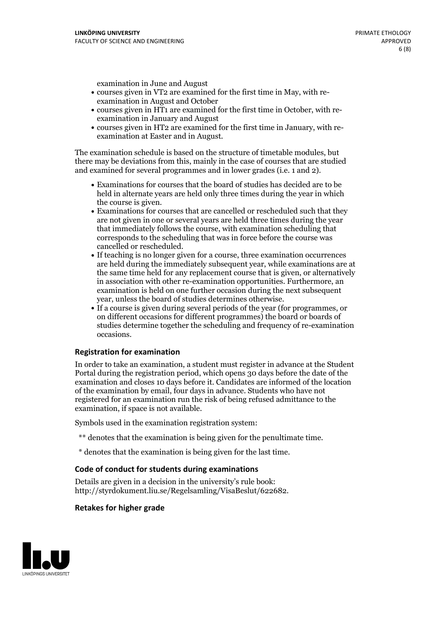examination in June and August

- courses given in VT2 are examined for the first time in May, with re-examination in August and October
- courses given in HT1 are examined for the first time in October, with re-examination in January and August
- courses given in HT2 are examined for the first time in January, with re-examination at Easter and in August.

The examination schedule is based on the structure of timetable modules, but there may be deviations from this, mainly in the case of courses that are studied and examined for several programmes and in lower grades (i.e. 1 and 2).

- Examinations for courses that the board of studies has decided are to be held in alternate years are held only three times during the year in which
- the course is given.<br>• Examinations for courses that are cancelled or rescheduled such that they are not given in one or several years are held three times during the year that immediately follows the course, with examination scheduling that corresponds to the scheduling that was in force before the course was cancelled or rescheduled.<br>• If teaching is no longer given for a course, three examination occurrences
- are held during the immediately subsequent year, while examinations are at the same time held for any replacement course that is given, or alternatively in association with other re-examination opportunities. Furthermore, an examination is held on one further occasion during the next subsequent year, unless the board of studies determines otherwise.<br>• If a course is given during several periods of the year (for programmes, or
- on different occasions for different programmes) the board orboards of studies determine together the scheduling and frequency of re-examination occasions.

#### **Registration for examination**

In order to take an examination, a student must register in advance at the Student Portal during the registration period, which opens 30 days before the date of the examination and closes 10 days before it. Candidates are informed of the location of the examination by email, four days in advance. Students who have not registered for an examination run the risk of being refused admittance to the examination, if space is not available.

Symbols used in the examination registration system:

- \*\* denotes that the examination is being given for the penultimate time.
- \* denotes that the examination is being given for the last time.

#### **Code of conduct for students during examinations**

Details are given in a decision in the university's rule book: http://styrdokument.liu.se/Regelsamling/VisaBeslut/622682.

#### **Retakes for higher grade**

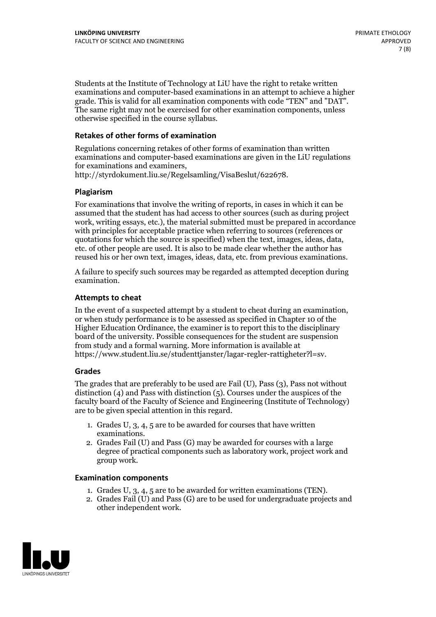Students at the Institute of Technology at LiU have the right to retake written examinations and computer-based examinations in an attempt to achieve a higher grade. This is valid for all examination components with code "TEN" and "DAT". The same right may not be exercised for other examination components, unless otherwise specified in the course syllabus.

### **Retakes of other forms of examination**

Regulations concerning retakes of other forms of examination than written examinations and computer-based examinations are given in the LiU regulations for examinations and examiners, http://styrdokument.liu.se/Regelsamling/VisaBeslut/622678.

#### **Plagiarism**

For examinations that involve the writing of reports, in cases in which it can be assumed that the student has had access to other sources (such as during project work, writing essays, etc.), the material submitted must be prepared in accordance with principles for acceptable practice when referring to sources (references or quotations for which the source is specified) when the text, images, ideas, data, etc. of other people are used. It is also to be made clear whether the author has reused his or her own text, images, ideas, data, etc. from previous examinations.

A failure to specify such sources may be regarded as attempted deception during examination.

#### **Attempts to cheat**

In the event of <sup>a</sup> suspected attempt by <sup>a</sup> student to cheat during an examination, or when study performance is to be assessed as specified in Chapter <sup>10</sup> of the Higher Education Ordinance, the examiner is to report this to the disciplinary board of the university. Possible consequences for the student are suspension from study and a formal warning. More information is available at https://www.student.liu.se/studenttjanster/lagar-regler-rattigheter?l=sv.

#### **Grades**

The grades that are preferably to be used are Fail (U), Pass (3), Pass not without distinction  $(4)$  and Pass with distinction  $(5)$ . Courses under the auspices of the faculty board of the Faculty of Science and Engineering (Institute of Technology) are to be given special attention in this regard.

- 1. Grades U, 3, 4, 5 are to be awarded for courses that have written
- examinations. 2. Grades Fail (U) and Pass (G) may be awarded for courses with <sup>a</sup> large degree of practical components such as laboratory work, project work and group work.

#### **Examination components**

- 
- 1. Grades U, 3, 4, <sup>5</sup> are to be awarded for written examinations (TEN). 2. Grades Fail (U) and Pass (G) are to be used for undergraduate projects and other independent work.